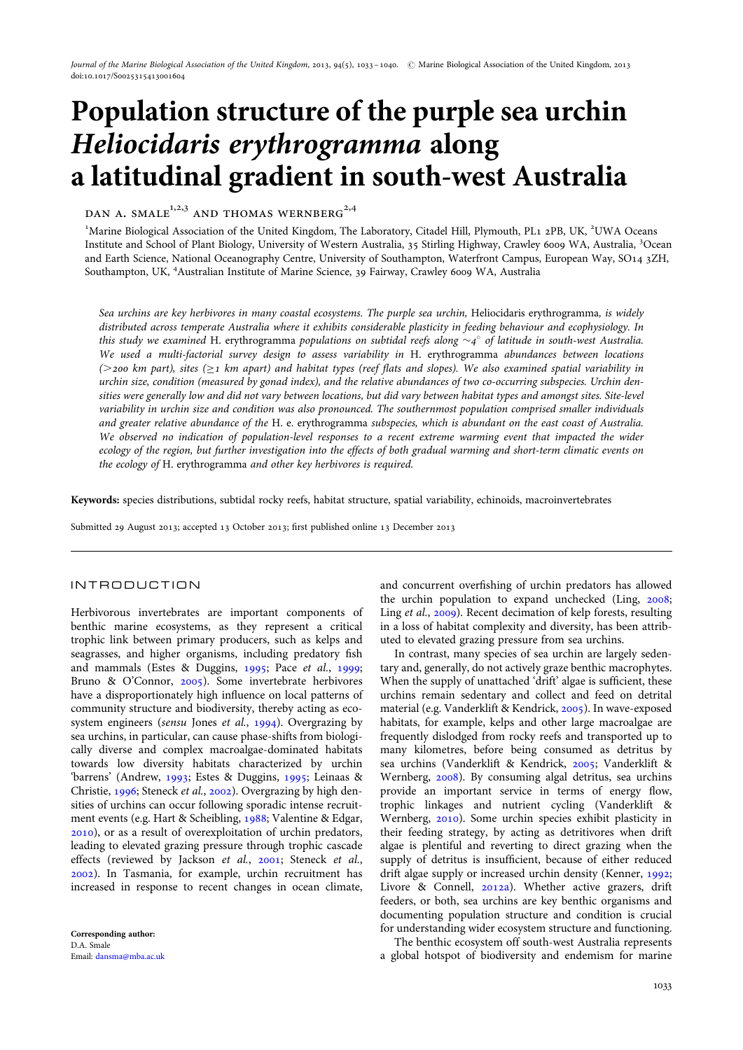# Population structure of the purple sea urchin Heliocidaris erythrogramma along a latitudinal gradient in south-west Australia

DAN A. SMALE<sup>1,2,3</sup> AND THOMAS WERNBERG<sup>2,4</sup>

<sup>1</sup>Marine Biological Association of the United Kingdom, The Laboratory, Citadel Hill, Plymouth, PL1 2PB, UK, <sup>2</sup>UWA Oceans Institute and School of Plant Biology, University of Western Australia, 35 Stirling Highway, Crawley 6009 WA, Australia, <sup>3</sup>Ocean and Earth Science, National Oceanography Centre, University of Southampton, Waterfront Campus, European Way, SO14 3ZH, Southampton, UK, <sup>4</sup>Australian Institute of Marine Science, 39 Fairway, Crawley 6009 WA, Australia

Sea urchins are key herbivores in many coastal ecosystems. The purple sea urchin, Heliocidaris erythrogramma, is widely distributed across temperate Australia where it exhibits considerable plasticity in feeding behaviour and ecophysiology. In this study we examined H. erythrogramma populations on subtidal reefs along  $\sim_4^\circ$  of latitude in south-west Australia. We used a multi-factorial survey design to assess variability in H. erythrogramma abundances between locations ( $>$ 200 km part), sites ( $\geq$ 1 km apart) and habitat types (reef flats and slopes). We also examined spatial variability in urchin size, condition (measured by gonad index), and the relative abundances of two co-occurring subspecies. Urchin densities were generally low and did not vary between locations, but did vary between habitat types and amongst sites. Site-level variability in urchin size and condition was also pronounced. The southernmost population comprised smaller individuals and greater relative abundance of the H. e. erythrogramma subspecies, which is abundant on the east coast of Australia. We observed no indication of population-level responses to a recent extreme warming event that impacted the wider ecology of the region, but further investigation into the effects of both gradual warming and short-term climatic events on the ecology of H. erythrogramma and other key herbivores is required.

Keywords: species distributions, subtidal rocky reefs, habitat structure, spatial variability, echinoids, macroinvertebrates

Submitted 29 August 2013; accepted 13 October 2013; first published online 13 December 2013

# INTRODUCTION

Herbivorous invertebrates are important components of benthic marine ecosystems, as they represent a critical trophic link between primary producers, such as kelps and seagrasses, and higher organisms, including predatory fish and mammals (Estes & Duggins, [1995;](#page-6-0) Pace et al., [1999](#page-6-0); Bruno & O'Connor, [2005\)](#page-5-0). Some invertebrate herbivores have a disproportionately high influence on local patterns of community structure and biodiversity, thereby acting as eco-system engineers (sensu Jones et al., [1994\)](#page-6-0). Overgrazing by sea urchins, in particular, can cause phase-shifts from biologically diverse and complex macroalgae-dominated habitats towards low diversity habitats characterized by urchin 'barrens' (Andrew, [1993;](#page-5-0) Estes & Duggins, [1995;](#page-6-0) Leinaas & Christie, [1996](#page-6-0); Steneck et al., [2002\)](#page-7-0). Overgrazing by high densities of urchins can occur following sporadic intense recruitment events (e.g. Hart & Scheibling, [1988;](#page-6-0) Valentine & Edgar, [2010\)](#page-7-0), or as a result of overexploitation of urchin predators, leading to elevated grazing pressure through trophic cascade effects (reviewed by Jackson et al., [2001;](#page-6-0) Steneck et al., [2002\)](#page-7-0). In Tasmania, for example, urchin recruitment has increased in response to recent changes in ocean climate,

and concurrent overfishing of urchin predators has allowed the urchin population to expand unchecked (Ling, [2008](#page-6-0); Ling et al., [2009\)](#page-6-0). Recent decimation of kelp forests, resulting in a loss of habitat complexity and diversity, has been attributed to elevated grazing pressure from sea urchins.

In contrast, many species of sea urchin are largely sedentary and, generally, do not actively graze benthic macrophytes. When the supply of unattached 'drift' algae is sufficient, these urchins remain sedentary and collect and feed on detrital material (e.g. Vanderklift & Kendrick, [2005\)](#page-7-0). In wave-exposed habitats, for example, kelps and other large macroalgae are frequently dislodged from rocky reefs and transported up to many kilometres, before being consumed as detritus by sea urchins (Vanderklift & Kendrick, [2005;](#page-7-0) Vanderklift & Wernberg, [2008\)](#page-7-0). By consuming algal detritus, sea urchins provide an important service in terms of energy flow, trophic linkages and nutrient cycling (Vanderklift & Wernberg, [2010\)](#page-7-0). Some urchin species exhibit plasticity in their feeding strategy, by acting as detritivores when drift algae is plentiful and reverting to direct grazing when the supply of detritus is insufficient, because of either reduced drift algae supply or increased urchin density (Kenner, [1992](#page-6-0); Livore & Connell, [2012a](#page-6-0)). Whether active grazers, drift feeders, or both, sea urchins are key benthic organisms and documenting population structure and condition is crucial for understanding wider ecosystem structure and functioning.

The benthic ecosystem off south-west Australia represents a global hotspot of biodiversity and endemism for marine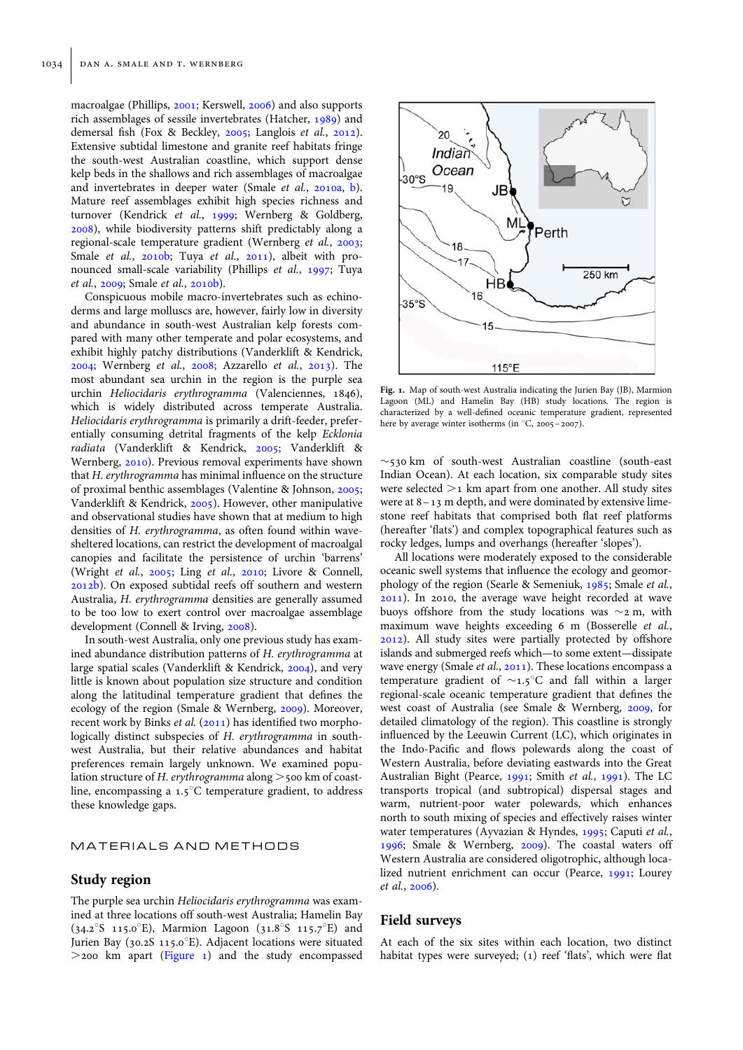macroalgae (Phillips, [2001](#page-6-0); Kerswell, [2006](#page-6-0)) and also supports rich assemblages of sessile invertebrates (Hatcher, [1989\)](#page-6-0) and demersal fish (Fox & Beckley, [2005;](#page-6-0) Langlois et al., [2012](#page-6-0)). Extensive subtidal limestone and granite reef habitats fringe the south-west Australian coastline, which support dense kelp beds in the shallows and rich assemblages of macroalgae and invertebrates in deeper water (Smale et al., [2010a](#page-7-0), [b](#page-7-0)). Mature reef assemblages exhibit high species richness and turnover (Kendrick et al., [1999;](#page-6-0) Wernberg & Goldberg, [2008\)](#page-7-0), while biodiversity patterns shift predictably along a regional-scale temperature gradient (Wernberg et al., [2003](#page-7-0); Smale et al., [2010b](#page-7-0); Tuya et al., [2011](#page-7-0)), albeit with pronounced small-scale variability (Phillips et al., [1997;](#page-6-0) Tuya et al., [2009](#page-7-0); Smale et al., [2010b](#page-7-0)).

Conspicuous mobile macro-invertebrates such as echinoderms and large molluscs are, however, fairly low in diversity and abundance in south-west Australian kelp forests compared with many other temperate and polar ecosystems, and exhibit highly patchy distributions (Vanderklift & Kendrick, [2004;](#page-7-0) Wernberg et al., [2008](#page-7-0); Azzarello et al., [2013](#page-5-0)). The most abundant sea urchin in the region is the purple sea urchin Heliocidaris erythrogramma (Valenciennes, 1846), which is widely distributed across temperate Australia. Heliocidaris erythrogramma is primarily a drift-feeder, preferentially consuming detrital fragments of the kelp Ecklonia radiata (Vanderklift & Kendrick, [2005](#page-7-0); Vanderklift & Wernberg, [2010](#page-7-0)). Previous removal experiments have shown that H. erythrogramma has minimal influence on the structure of proximal benthic assemblages (Valentine & Johnson, [2005](#page-7-0); Vanderklift & Kendrick, [2005\)](#page-7-0). However, other manipulative and observational studies have shown that at medium to high densities of H. erythrogramma, as often found within wavesheltered locations, can restrict the development of macroalgal canopies and facilitate the persistence of urchin 'barrens' (Wright et al., [2005;](#page-7-0) Ling et al., [2010](#page-6-0); Livore & Connell, [2012b\)](#page-6-0). On exposed subtidal reefs off southern and western Australia, H. erythrogramma densities are generally assumed to be too low to exert control over macroalgae assemblage development (Connell & Irving, [2008\)](#page-6-0).

In south-west Australia, only one previous study has examined abundance distribution patterns of H. erythrogramma at large spatial scales (Vanderklift & Kendrick, [2004](#page-7-0)), and very little is known about population size structure and condition along the latitudinal temperature gradient that defines the ecology of the region (Smale & Wernberg, [2009\)](#page-7-0). Moreover, recent work by Binks et al. ([2011](#page-5-0)) has identified two morphologically distinct subspecies of H. erythrogramma in southwest Australia, but their relative abundances and habitat preferences remain largely unknown. We examined population structure of H. erythrogramma along  $>$  500 km of coastline, encompassing a  $1.5^{\circ}$ C temperature gradient, to address these knowledge gaps.

## MATERIALS AND METHODS

## Study region

The purple sea urchin Heliocidaris erythrogramma was examined at three locations off south-west Australia; Hamelin Bay (34.2°S 115.0°E), Marmion Lagoon (31.8°S 115.7°E) and Jurien Bay (30.2S 115.0°E). Adjacent locations were situated  $>$ 200 km apart (Figure 1) and the study encompassed



Fig. 1. Map of south-west Australia indicating the Jurien Bay (JB), Marmion Lagoon (ML) and Hamelin Bay (HB) study locations. The region is characterized by a well-defined oceanic temperature gradient, represented here by average winter isotherms (in °C, 2005 – 2007).

 $\sim$ 530 km of south-west Australian coastline (south-east Indian Ocean). At each location, six comparable study sites were selected  $>1$  km apart from one another. All study sites were at 8–13 m depth, and were dominated by extensive limestone reef habitats that comprised both flat reef platforms (hereafter 'flats') and complex topographical features such as rocky ledges, lumps and overhangs (hereafter 'slopes').

All locations were moderately exposed to the considerable oceanic swell systems that influence the ecology and geomorphology of the region (Searle & Semeniuk, [1985;](#page-7-0) Smale et al., [2011\)](#page-7-0). In 2010, the average wave height recorded at wave buoys offshore from the study locations was  $\sim$ 2 m, with maximum wave heights exceeding 6 m (Bosserelle et al., [2012\)](#page-5-0). All study sites were partially protected by offshore islands and submerged reefs which—to some extent—dissipate wave energy (Smale *et al.*, [2011](#page-7-0)). These locations encompass a temperature gradient of  $\sim$ 1.5°C and fall within a larger regional-scale oceanic temperature gradient that defines the west coast of Australia (see Smale & Wernberg, [2009](#page-7-0), for detailed climatology of the region). This coastline is strongly influenced by the Leeuwin Current (LC), which originates in the Indo-Pacific and flows polewards along the coast of Western Australia, before deviating eastwards into the Great Australian Bight (Pearce, [1991](#page-6-0); Smith et al., [1991\)](#page-7-0). The LC transports tropical (and subtropical) dispersal stages and warm, nutrient-poor water polewards, which enhances north to south mixing of species and effectively raises winter water temperatures (Ayvazian & Hyndes, [1995](#page-5-0); Caputi et al., [1996;](#page-6-0) Smale & Wernberg, [2009\)](#page-7-0). The coastal waters off Western Australia are considered oligotrophic, although localized nutrient enrichment can occur (Pearce, [1991;](#page-6-0) Lourey et al., [2006\)](#page-6-0).

## Field surveys

At each of the six sites within each location, two distinct habitat types were surveyed; (1) reef 'flats', which were flat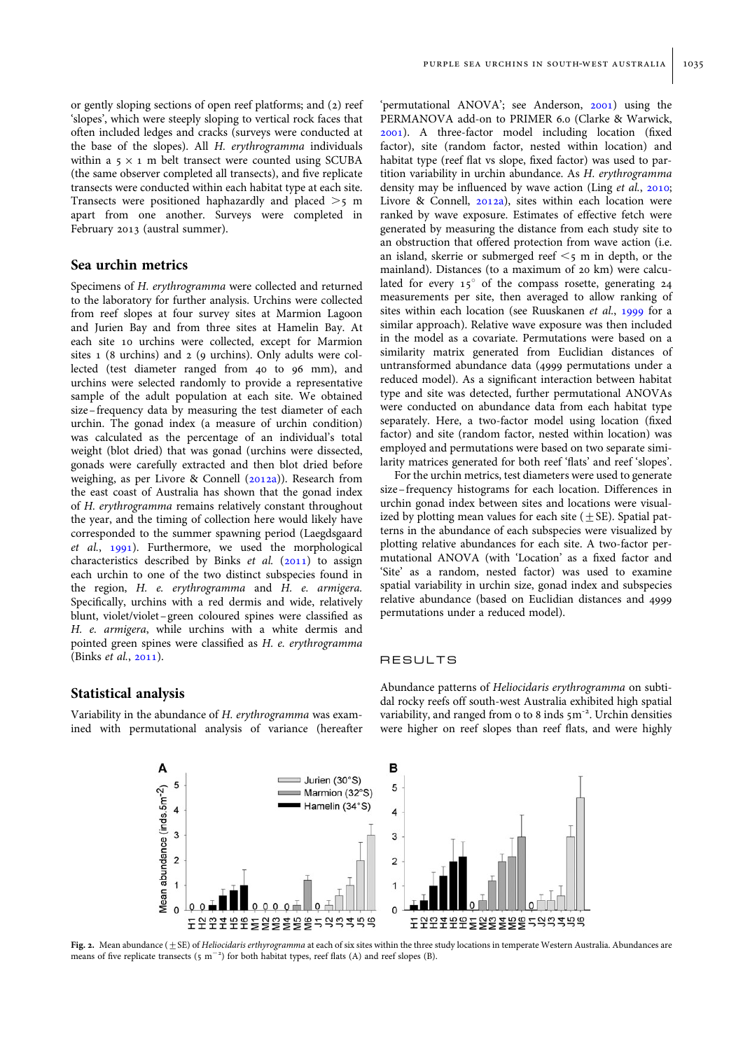<span id="page-2-0"></span>or gently sloping sections of open reef platforms; and (2) reef 'slopes', which were steeply sloping to vertical rock faces that often included ledges and cracks (surveys were conducted at the base of the slopes). All H. erythrogramma individuals within a  $5 \times 1$  m belt transect were counted using SCUBA (the same observer completed all transects), and five replicate transects were conducted within each habitat type at each site. Transects were positioned haphazardly and placed  $>$ 5 m apart from one another. Surveys were completed in February 2013 (austral summer).

# Sea urchin metrics

Specimens of H. erythrogramma were collected and returned to the laboratory for further analysis. Urchins were collected from reef slopes at four survey sites at Marmion Lagoon and Jurien Bay and from three sites at Hamelin Bay. At each site 10 urchins were collected, except for Marmion sites 1 (8 urchins) and 2 (9 urchins). Only adults were collected (test diameter ranged from 40 to 96 mm), and urchins were selected randomly to provide a representative sample of the adult population at each site. We obtained size–frequency data by measuring the test diameter of each urchin. The gonad index (a measure of urchin condition) was calculated as the percentage of an individual's total weight (blot dried) that was gonad (urchins were dissected, gonads were carefully extracted and then blot dried before weighing, as per Livore & Connell [\(2012a\)](#page-6-0)). Research from the east coast of Australia has shown that the gonad index of H. erythrogramma remains relatively constant throughout the year, and the timing of collection here would likely have corresponded to the summer spawning period (Laegdsgaard et al., [1991](#page-6-0)). Furthermore, we used the morphological characteristics described by Binks et al. ([2011\)](#page-5-0) to assign each urchin to one of the two distinct subspecies found in the region, H. e. erythrogramma and H. e. armigera. Specifically, urchins with a red dermis and wide, relatively blunt, violet/violet–green coloured spines were classified as H. e. armigera, while urchins with a white dermis and pointed green spines were classified as H. e. erythrogramma (Binks et al., [2011\)](#page-5-0).

## purple sea urchins in south-west australia 1035

'permutational ANOVA'; see Anderson, [2001](#page-5-0)) using the PERMANOVA add-on to PRIMER 6.0 (Clarke & Warwick, [2001\)](#page-6-0). A three-factor model including location (fixed factor), site (random factor, nested within location) and habitat type (reef flat vs slope, fixed factor) was used to partition variability in urchin abundance. As H. erythrogramma density may be influenced by wave action (Ling *et al.*, [2010](#page-6-0); Livore & Connell, [2012a\)](#page-6-0), sites within each location were ranked by wave exposure. Estimates of effective fetch were generated by measuring the distance from each study site to an obstruction that offered protection from wave action (i.e. an island, skerrie or submerged reef  $\leq$ 5 m in depth, or the mainland). Distances (to a maximum of 20 km) were calculated for every  $15^{\circ}$  of the compass rosette, generating 24 measurements per site, then averaged to allow ranking of sites within each location (see Ruuskanen et al., [1999](#page-6-0) for a similar approach). Relative wave exposure was then included in the model as a covariate. Permutations were based on a similarity matrix generated from Euclidian distances of untransformed abundance data (4999 permutations under a reduced model). As a significant interaction between habitat type and site was detected, further permutational ANOVAs were conducted on abundance data from each habitat type separately. Here, a two-factor model using location (fixed factor) and site (random factor, nested within location) was employed and permutations were based on two separate similarity matrices generated for both reef 'flats' and reef 'slopes'.

For the urchin metrics, test diameters were used to generate size–frequency histograms for each location. Differences in urchin gonad index between sites and locations were visualized by plotting mean values for each site  $(\pm S$ E). Spatial patterns in the abundance of each subspecies were visualized by plotting relative abundances for each site. A two-factor permutational ANOVA (with 'Location' as a fixed factor and 'Site' as a random, nested factor) was used to examine spatial variability in urchin size, gonad index and subspecies relative abundance (based on Euclidian distances and 4999 permutations under a reduced model).

#### RESULTS

# Statistical analysis

Variability in the abundance of H. erythrogramma was examined with permutational analysis of variance (hereafter Abundance patterns of Heliocidaris erythrogramma on subtidal rocky reefs off south-west Australia exhibited high spatial variability, and ranged from 0 to 8 inds 5m<sup>-2</sup>. Urchin densities were higher on reef slopes than reef flats, and were highly



Fig. 2. Mean abundance  $(\pm SE)$  of Heliocidaris erthyrogramma at each of six sites within the three study locations in temperate Western Australia. Abundances are means of five replicate transects (5  $m^{-2}$ ) for both habitat types, reef flats (A) and reef slopes (B).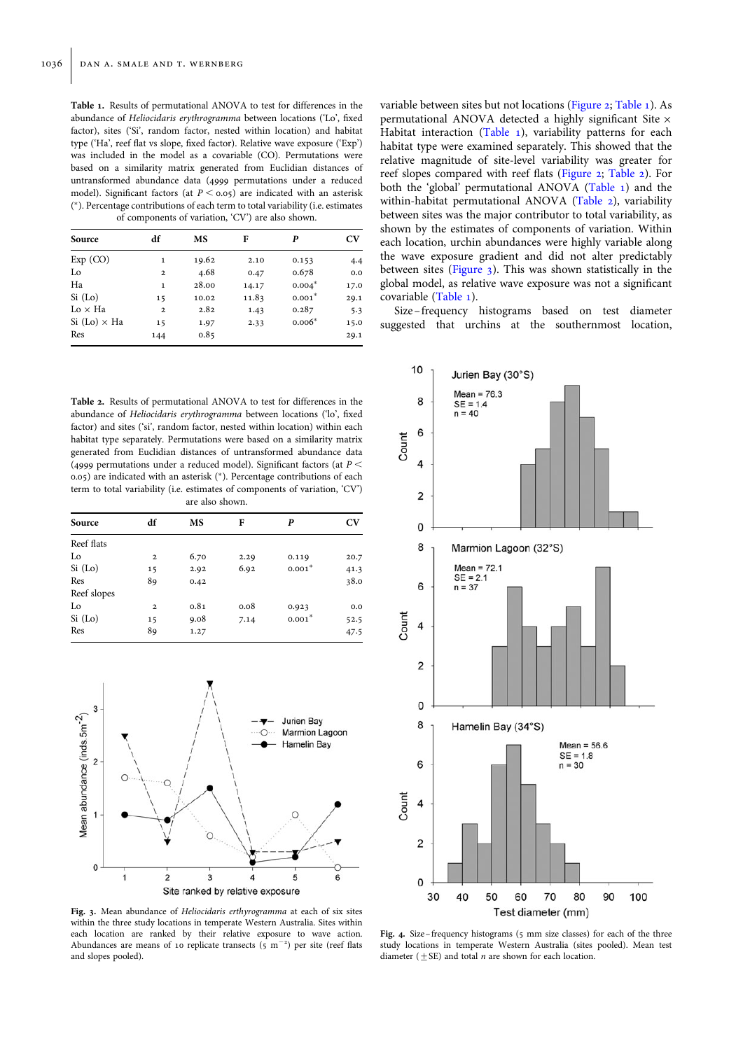<span id="page-3-0"></span>Table 1. Results of permutational ANOVA to test for differences in the abundance of Heliocidaris erythrogramma between locations ('Lo', fixed factor), sites ('Si', random factor, nested within location) and habitat type ('Ha', reef flat vs slope, fixed factor). Relative wave exposure ('Exp') was included in the model as a covariable (CO). Permutations were based on a similarity matrix generated from Euclidian distances of untransformed abundance data (4999 permutations under a reduced model). Significant factors (at  $P \le 0.05$ ) are indicated with an asterisk ( <sup>∗</sup>). Percentage contributions of each term to total variability (i.e. estimates of components of variation, 'CV') are also shown.

| Source              | df             | MS    | F     | P        | $\mathbf{C}\mathbf{V}$ |
|---------------------|----------------|-------|-------|----------|------------------------|
|                     |                |       |       |          |                        |
| Exp (CO)            | 1              | 19.62 | 2.10  | 0.153    | 4.4                    |
| Lo                  | $\overline{2}$ | 4.68  | 0.47  | 0.678    | 0.0                    |
| Ha                  | $\mathbf{1}$   | 28.00 | 14.17 | $0.004*$ | 17.0                   |
| Si (Lo)             | 15             | 10.02 | 11.83 | $0.001*$ | 29.1                   |
| $Lo \times Ha$      | $\mathbf{2}$   | 2.82  | 1.43  | 0.287    | 5.3                    |
| $Si (Lo) \times Ha$ | 15             | 1.97  | 2.33  | $0.006*$ | 15.0                   |
| Res                 | 144            | 0.85  |       |          | 29.1                   |

Table 2. Results of permutational ANOVA to test for differences in the abundance of Heliocidaris erythrogramma between locations ('lo', fixed factor) and sites ('si', random factor, nested within location) within each habitat type separately. Permutations were based on a similarity matrix generated from Euclidian distances of untransformed abundance data (4999 permutations under a reduced model). Significant factors (at  $P$  < 0.05) are indicated with an asterisk (∗). Percentage contributions of each term to total variability (i.e. estimates of components of variation, 'CV') are also shown.

| Source      | df           | MS   | F    | P        | CV   |
|-------------|--------------|------|------|----------|------|
| Reef flats  |              |      |      |          |      |
| Lo          | $\mathbf{2}$ | 6.70 | 2.29 | 0.119    | 20.7 |
| Si (Lo)     | 15           | 2.92 | 6.92 | $0.001*$ | 41.3 |
| Res         | 89           | 0.42 |      |          | 38.0 |
| Reef slopes |              |      |      |          |      |
| Lo          | $\mathbf{2}$ | 0.81 | 0.08 | 0.923    | 0.0  |
| Si (Lo)     | 15           | 9.08 | 7.14 | $0.001*$ | 52.5 |
| Res         | 89           | 1.27 |      |          | 47.5 |



Fig. 3. Mean abundance of Heliocidaris erthyrogramma at each of six sites within the three study locations in temperate Western Australia. Sites within each location are ranked by their relative exposure to wave action. Abundances are means of 10 replicate transects  $(s/m^{-2})$  per site (reef flats and slopes pooled).

variable between sites but not locations ([Figure 2;](#page-2-0) Table 1). As permutational ANOVA detected a highly significant Site × Habitat interaction (Table 1), variability patterns for each habitat type were examined separately. This showed that the relative magnitude of site-level variability was greater for reef slopes compared with reef flats [\(Figure 2](#page-2-0); Table 2). For both the 'global' permutational ANOVA (Table 1) and the within-habitat permutational ANOVA (Table 2), variability between sites was the major contributor to total variability, as shown by the estimates of components of variation. Within each location, urchin abundances were highly variable along the wave exposure gradient and did not alter predictably between sites (Figure 3). This was shown statistically in the global model, as relative wave exposure was not a significant covariable (Table 1).

Size –frequency histograms based on test diameter suggested that urchins at the southernmost location,



Fig. 4. Size-frequency histograms (5 mm size classes) for each of the three study locations in temperate Western Australia (sites pooled). Mean test diameter  $(+SE)$  and total *n* are shown for each location.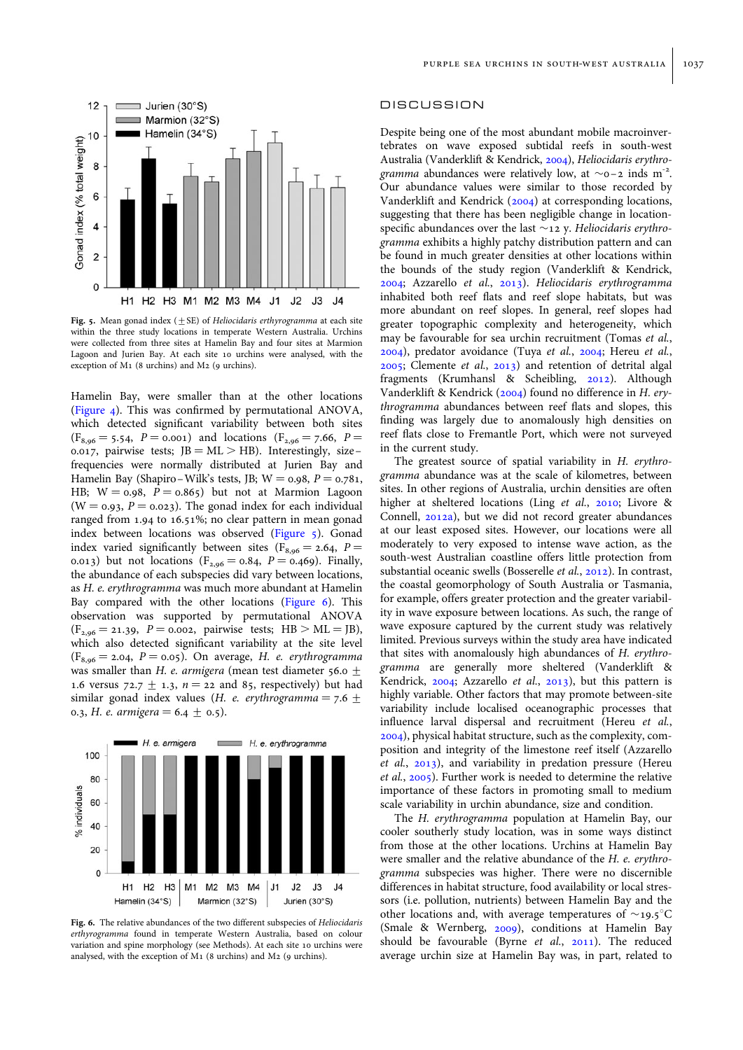

Fig. 5. Mean gonad index ( $\pm$  SE) of Heliocidaris erthyrogramma at each site within the three study locations in temperate Western Australia. Urchins were collected from three sites at Hamelin Bay and four sites at Marmion Lagoon and Jurien Bay. At each site 10 urchins were analysed, with the exception of M<sub>1</sub> (8 urchins) and M<sub>2</sub> (9 urchins).

Hamelin Bay, were smaller than at the other locations ([Figure 4\)](#page-3-0). This was confirmed by permutational ANOVA, which detected significant variability between both sites  $(F_{8,96} = 5.54, P = 0.001)$  and locations  $(F_{2,96} = 7.66, P =$ 0.017, pairwise tests;  $JB = ML > HB$ . Interestingly, sizefrequencies were normally distributed at Jurien Bay and Hamelin Bay (Shapiro–Wilk's tests, JB;  $W = 0.98$ ,  $P = 0.781$ , HB;  $W = 0.98$ ,  $P = 0.865$ ) but not at Marmion Lagoon ( $W = 0.93$ ,  $P = 0.023$ ). The gonad index for each individual ranged from 1.94 to 16.51%; no clear pattern in mean gonad index between locations was observed (Figure 5). Gonad index varied significantly between sites ( $F_{8,96} = 2.64$ ,  $P =$ 0.013) but not locations ( $F_{2,96} = 0.84$ ,  $P = 0.469$ ). Finally, the abundance of each subspecies did vary between locations, as H. e. erythrogramma was much more abundant at Hamelin Bay compared with the other locations (Figure 6). This observation was supported by permutational ANOVA  $(F_{2,96} = 21.39, P = 0.002,$  pairwise tests; HB > ML = JB), which also detected significant variability at the site level  $(F_{8,96} = 2.04, P = 0.05)$ . On average, H. e. erythrogramma was smaller than H. e. armigera (mean test diameter 56.0  $\pm$ 1.6 versus 72.7  $\pm$  1.3,  $n = 22$  and 85, respectively) but had similar gonad index values (*H. e. erythrogramma* =  $7.6 \pm$ 0.3, *H. e. armigera* = 6.4  $\pm$  0.5).



Fig. 6. The relative abundances of the two different subspecies of *Heliocidaris* erthyrogramma found in temperate Western Australia, based on colour variation and spine morphology (see Methods). At each site 10 urchins were analysed, with the exception of  $M_1$  (8 urchins) and  $M_2$  (9 urchins).

### DISCUSSION

Despite being one of the most abundant mobile macroinvertebrates on wave exposed subtidal reefs in south-west Australia (Vanderklift & Kendrick, [2004\)](#page-7-0), Heliocidaris erythrogramma abundances were relatively low, at  $\sim$ 0-2 inds m<sup>-2</sup>. Our abundance values were similar to those recorded by Vanderklift and Kendrick ([2004](#page-7-0)) at corresponding locations, suggesting that there has been negligible change in locationspecific abundances over the last  $\sim$  12 y. Heliocidaris erythrogramma exhibits a highly patchy distribution pattern and can be found in much greater densities at other locations within the bounds of the study region (Vanderklift & Kendrick, [2004;](#page-7-0) Azzarello et al., [2013\)](#page-5-0). Heliocidaris erythrogramma inhabited both reef flats and reef slope habitats, but was more abundant on reef slopes. In general, reef slopes had greater topographic complexity and heterogeneity, which may be favourable for sea urchin recruitment (Tomas et al., [2004\)](#page-7-0), predator avoidance (Tuya et al., [2004;](#page-7-0) Hereu et al., [2005;](#page-6-0) Clemente et al., [2013\)](#page-6-0) and retention of detrital algal fragments (Krumhansl & Scheibling, [2012\)](#page-6-0). Although Vanderklift & Kendrick ([2004\)](#page-7-0) found no difference in H. erythrogramma abundances between reef flats and slopes, this finding was largely due to anomalously high densities on reef flats close to Fremantle Port, which were not surveyed in the current study.

The greatest source of spatial variability in H. erythrogramma abundance was at the scale of kilometres, between sites. In other regions of Australia, urchin densities are often higher at sheltered locations (Ling et al., [2010;](#page-6-0) Livore & Connell, [2012a](#page-6-0)), but we did not record greater abundances at our least exposed sites. However, our locations were all moderately to very exposed to intense wave action, as the south-west Australian coastline offers little protection from substantial oceanic swells (Bosserelle et al., [2012](#page-5-0)). In contrast, the coastal geomorphology of South Australia or Tasmania, for example, offers greater protection and the greater variability in wave exposure between locations. As such, the range of wave exposure captured by the current study was relatively limited. Previous surveys within the study area have indicated that sites with anomalously high abundances of H. erythrogramma are generally more sheltered (Vanderklift & Kendrick, [2004](#page-7-0); Azzarello et al., [2013\)](#page-5-0), but this pattern is highly variable. Other factors that may promote between-site variability include localised oceanographic processes that influence larval dispersal and recruitment (Hereu et al., [2004\)](#page-6-0), physical habitat structure, such as the complexity, composition and integrity of the limestone reef itself (Azzarello et al., [2013](#page-5-0)), and variability in predation pressure (Hereu et al., [2005\)](#page-6-0). Further work is needed to determine the relative importance of these factors in promoting small to medium scale variability in urchin abundance, size and condition.

The H. erythrogramma population at Hamelin Bay, our cooler southerly study location, was in some ways distinct from those at the other locations. Urchins at Hamelin Bay were smaller and the relative abundance of the H. e. erythrogramma subspecies was higher. There were no discernible differences in habitat structure, food availability or local stressors (i.e. pollution, nutrients) between Hamelin Bay and the other locations and, with average temperatures of  $\sim$ 19.5°C (Smale & Wernberg, [2009](#page-7-0)), conditions at Hamelin Bay should be favourable (Byrne et al., [2011](#page-6-0)). The reduced average urchin size at Hamelin Bay was, in part, related to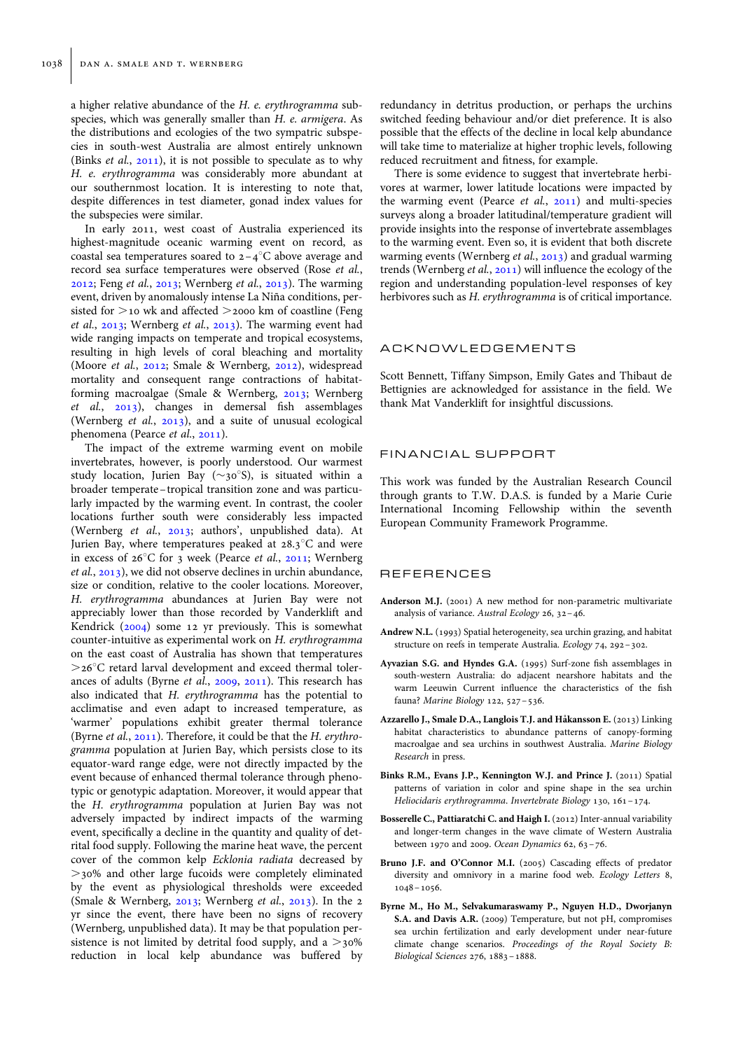<span id="page-5-0"></span>a higher relative abundance of the H. e. erythrogramma subspecies, which was generally smaller than H. e. armigera. As the distributions and ecologies of the two sympatric subspecies in south-west Australia are almost entirely unknown (Binks *et al.*,  $2011$ ), it is not possible to speculate as to why H. e. erythrogramma was considerably more abundant at our southernmost location. It is interesting to note that, despite differences in test diameter, gonad index values for the subspecies were similar.

In early 2011, west coast of Australia experienced its highest-magnitude oceanic warming event on record, as coastal sea temperatures soared to  $2-4$ <sup>o</sup>C above average and record sea surface temperatures were observed (Rose et al., [2012;](#page-6-0) Feng et al., [2013;](#page-6-0) Wernberg et al., [2013\)](#page-7-0). The warming event, driven by anomalously intense La Niña conditions, persisted for  $>$ 10 wk and affected  $>$ 2000 km of coastline (Feng et al., [2013](#page-6-0); Wernberg et al., [2013\)](#page-7-0). The warming event had wide ranging impacts on temperate and tropical ecosystems, resulting in high levels of coral bleaching and mortality (Moore et al., [2012;](#page-6-0) Smale & Wernberg, [2012\)](#page-7-0), widespread mortality and consequent range contractions of habitatforming macroalgae (Smale & Wernberg, [2013](#page-7-0); Wernberg et al., [2013](#page-7-0)), changes in demersal fish assemblages (Wernberg et al., [2013\)](#page-7-0), and a suite of unusual ecological phenomena (Pearce et al., [2011](#page-6-0)).

The impact of the extreme warming event on mobile invertebrates, however, is poorly understood. Our warmest study location, Jurien Bay ( $\sim$ 30°S), is situated within a broader temperate – tropical transition zone and was particularly impacted by the warming event. In contrast, the cooler locations further south were considerably less impacted (Wernberg et al., [2013;](#page-7-0) authors', unpublished data). At Jurien Bay, where temperatures peaked at  $28.3^{\circ}$ C and were in excess of  $26^{\circ}$ C for 3 week (Pearce et al., [2011;](#page-6-0) Wernberg et al., [2013](#page-7-0)), we did not observe declines in urchin abundance, size or condition, relative to the cooler locations. Moreover, H. erythrogramma abundances at Jurien Bay were not appreciably lower than those recorded by Vanderklift and Kendrick [\(2004\)](#page-7-0) some 12 yr previously. This is somewhat counter-intuitive as experimental work on H. erythrogramma on the east coast of Australia has shown that temperatures  $>$ 26 $\degree$ C retard larval development and exceed thermal tolerances of adults (Byrne et al., 2009, [2011\)](#page-6-0). This research has also indicated that H. erythrogramma has the potential to acclimatise and even adapt to increased temperature, as 'warmer' populations exhibit greater thermal tolerance (Byrne et al., [2011\)](#page-6-0). Therefore, it could be that the H. erythrogramma population at Jurien Bay, which persists close to its equator-ward range edge, were not directly impacted by the event because of enhanced thermal tolerance through phenotypic or genotypic adaptation. Moreover, it would appear that the H. erythrogramma population at Jurien Bay was not adversely impacted by indirect impacts of the warming event, specifically a decline in the quantity and quality of detrital food supply. Following the marine heat wave, the percent cover of the common kelp Ecklonia radiata decreased by  $>$ 30% and other large fucoids were completely eliminated by the event as physiological thresholds were exceeded (Smale & Wernberg, [2013;](#page-7-0) Wernberg et al., [2013\)](#page-7-0). In the 2 yr since the event, there have been no signs of recovery (Wernberg, unpublished data). It may be that population persistence is not limited by detrital food supply, and a  $>$ 30% reduction in local kelp abundance was buffered by redundancy in detritus production, or perhaps the urchins switched feeding behaviour and/or diet preference. It is also possible that the effects of the decline in local kelp abundance will take time to materialize at higher trophic levels, following reduced recruitment and fitness, for example.

There is some evidence to suggest that invertebrate herbivores at warmer, lower latitude locations were impacted by the warming event (Pearce et al., [2011\)](#page-6-0) and multi-species surveys along a broader latitudinal/temperature gradient will provide insights into the response of invertebrate assemblages to the warming event. Even so, it is evident that both discrete warming events (Wernberg et al., [2013\)](#page-7-0) and gradual warming trends (Wernberg et al., [2011\)](#page-7-0) will influence the ecology of the region and understanding population-level responses of key herbivores such as *H. erythrogramma* is of critical importance.

## ACKNOWLEDGEMENTS

Scott Bennett, Tiffany Simpson, Emily Gates and Thibaut de Bettignies are acknowledged for assistance in the field. We thank Mat Vanderklift for insightful discussions.

#### FINANCIAL SUPPORT

This work was funded by the Australian Research Council through grants to T.W. D.A.S. is funded by a Marie Curie International Incoming Fellowship within the seventh European Community Framework Programme.

### REFERENCES

- Anderson M.J. (2001) A new method for non-parametric multivariate analysis of variance. Austral Ecology 26, 32–46.
- Andrew N.L. (1993) Spatial heterogeneity, sea urchin grazing, and habitat structure on reefs in temperate Australia. Ecology 74, 292–302.
- Ayvazian S.G. and Hyndes G.A. (1995) Surf-zone fish assemblages in south-western Australia: do adjacent nearshore habitats and the warm Leeuwin Current influence the characteristics of the fish fauna? Marine Biology 122, 527–536.
- Azzarello J., Smale D.A., Langlois T.J. and Håkansson E. (2013) Linking habitat characteristics to abundance patterns of canopy-forming macroalgae and sea urchins in southwest Australia. Marine Biology Research in press.
- Binks R.M., Evans J.P., Kennington W.J. and Prince J. (2011) Spatial patterns of variation in color and spine shape in the sea urchin Heliocidaris erythrogramma. Invertebrate Biology 130, 161–174.
- Bosserelle C., Pattiaratchi C. and Haigh I. (2012) Inter-annual variability and longer-term changes in the wave climate of Western Australia between 1970 and 2009. Ocean Dynamics 62, 63–76.
- Bruno J.F. and O'Connor M.I. (2005) Cascading effects of predator diversity and omnivory in a marine food web. Ecology Letters 8, 1048–1056.
- Byrne M., Ho M., Selvakumaraswamy P., Nguyen H.D., Dworjanyn S.A. and Davis A.R. (2009) Temperature, but not pH, compromises sea urchin fertilization and early development under near-future climate change scenarios. Proceedings of the Royal Society B: Biological Sciences 276, 1883–1888.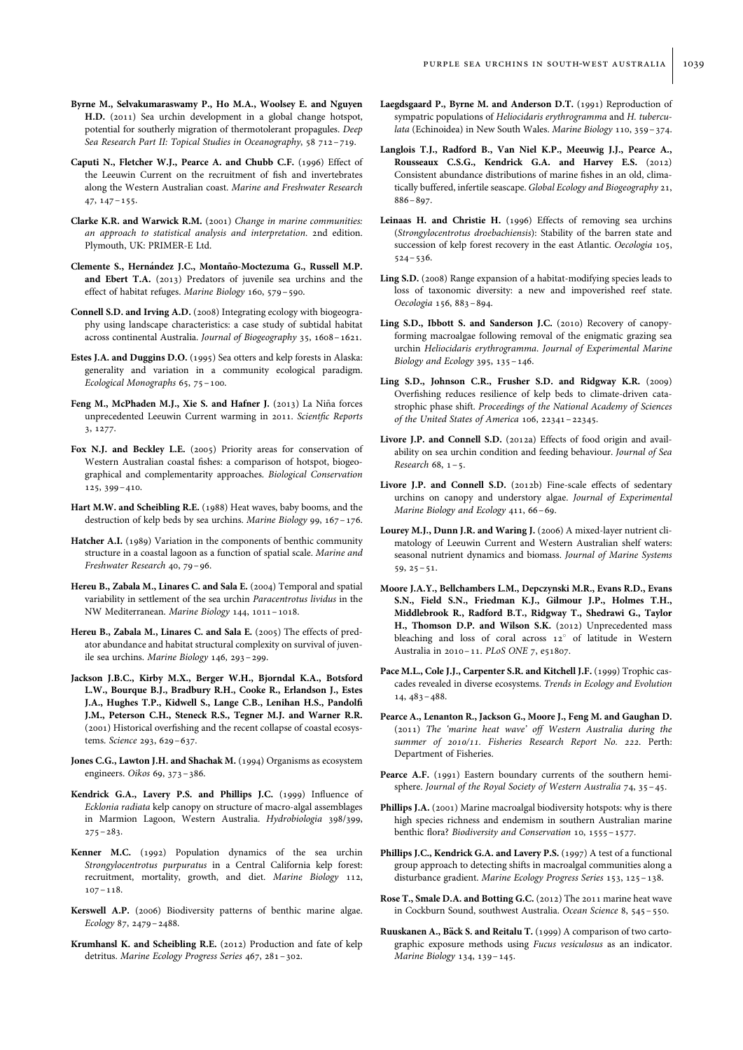- <span id="page-6-0"></span>Byrne M., Selvakumaraswamy P., Ho M.A., Woolsey E. and Nguyen H.D. (2011) Sea urchin development in a global change hotspot, potential for southerly migration of thermotolerant propagules. Deep Sea Research Part II: Topical Studies in Oceanography, 58 712–719.
- Caputi N., Fletcher W.J., Pearce A. and Chubb C.F. (1996) Effect of the Leeuwin Current on the recruitment of fish and invertebrates along the Western Australian coast. Marine and Freshwater Research 47, 147–155.
- Clarke K.R. and Warwick R.M. (2001) Change in marine communities: an approach to statistical analysis and interpretation. 2nd edition. Plymouth, UK: PRIMER-E Ltd.
- Clemente S., Hernández J.C., Montaño-Moctezuma G., Russell M.P. and Ebert T.A. (2013) Predators of juvenile sea urchins and the effect of habitat refuges. Marine Biology 160, 579–590.
- Connell S.D. and Irving A.D. (2008) Integrating ecology with biogeography using landscape characteristics: a case study of subtidal habitat across continental Australia. Journal of Biogeography 35, 1608–1621.
- Estes J.A. and Duggins D.O. (1995) Sea otters and kelp forests in Alaska: generality and variation in a community ecological paradigm. Ecological Monographs 65, 75–100.
- Feng M., McPhaden M.J., Xie S. and Hafner J. (2013) La Niña forces unprecedented Leeuwin Current warming in 2011. Scientfic Reports 3, 1277.
- Fox N.J. and Beckley L.E. (2005) Priority areas for conservation of Western Australian coastal fishes: a comparison of hotspot, biogeographical and complementarity approaches. Biological Conservation 125, 399–410.
- Hart M.W. and Scheibling R.E. (1988) Heat waves, baby booms, and the destruction of kelp beds by sea urchins. Marine Biology 99, 167–176.
- Hatcher A.I. (1989) Variation in the components of benthic community structure in a coastal lagoon as a function of spatial scale. Marine and Freshwater Research 40, 79–96.
- Hereu B., Zabala M., Linares C. and Sala E. (2004) Temporal and spatial variability in settlement of the sea urchin Paracentrotus lividus in the NW Mediterranean. Marine Biology 144, 1011–1018.
- Hereu B., Zabala M., Linares C. and Sala E. (2005) The effects of predator abundance and habitat structural complexity on survival of juvenile sea urchins. Marine Biology 146, 293–299.
- Jackson J.B.C., Kirby M.X., Berger W.H., Bjorndal K.A., Botsford L.W., Bourque B.J., Bradbury R.H., Cooke R., Erlandson J., Estes J.A., Hughes T.P., Kidwell S., Lange C.B., Lenihan H.S., Pandolfi J.M., Peterson C.H., Steneck R.S., Tegner M.J. and Warner R.R. (2001) Historical overfishing and the recent collapse of coastal ecosystems. Science 293, 629–637.
- Jones C.G., Lawton J.H. and Shachak M. (1994) Organisms as ecosystem engineers. Oikos 69, 373–386.
- Kendrick G.A., Lavery P.S. and Phillips J.C. (1999) Influence of Ecklonia radiata kelp canopy on structure of macro-algal assemblages in Marmion Lagoon, Western Australia. Hydrobiologia 398/399,  $275 - 283$
- Kenner M.C. (1992) Population dynamics of the sea urchin Strongylocentrotus purpuratus in a Central California kelp forest: recruitment, mortality, growth, and diet. Marine Biology 112, 107–118.
- Kerswell A.P. (2006) Biodiversity patterns of benthic marine algae. Ecology 87, 2479–2488.
- Krumhansl K. and Scheibling R.E. (2012) Production and fate of kelp detritus. Marine Ecology Progress Series 467, 281–302.
- Laegdsgaard P., Byrne M. and Anderson D.T. (1991) Reproduction of sympatric populations of Heliocidaris erythrogramma and H. tuberculata (Echinoidea) in New South Wales. Marine Biology 110, 359–374.
- Langlois T.J., Radford B., Van Niel K.P., Meeuwig J.J., Pearce A., Rousseaux C.S.G., Kendrick G.A. and Harvey E.S. (2012) Consistent abundance distributions of marine fishes in an old, climatically buffered, infertile seascape. Global Ecology and Biogeography 21, 886–897.
- Leinaas H. and Christie H. (1996) Effects of removing sea urchins (Strongylocentrotus droebachiensis): Stability of the barren state and succession of kelp forest recovery in the east Atlantic. Oecologia 105, 524–536.
- Ling S.D. (2008) Range expansion of a habitat-modifying species leads to loss of taxonomic diversity: a new and impoverished reef state. Oecologia 156, 883–894.
- Ling S.D., Ibbott S. and Sanderson J.C. (2010) Recovery of canopyforming macroalgae following removal of the enigmatic grazing sea urchin Heliocidaris erythrogramma. Journal of Experimental Marine Biology and Ecology 395, 135–146.
- Ling S.D., Johnson C.R., Frusher S.D. and Ridgway K.R. (2009) Overfishing reduces resilience of kelp beds to climate-driven catastrophic phase shift. Proceedings of the National Academy of Sciences of the United States of America 106, 22341–22345.
- Livore J.P. and Connell S.D. (2012a) Effects of food origin and availability on sea urchin condition and feeding behaviour. Journal of Sea Research 68, 1–5.
- Livore J.P. and Connell S.D. (2012b) Fine-scale effects of sedentary urchins on canopy and understory algae. Journal of Experimental Marine Biology and Ecology 411, 66–69.
- Lourey M.J., Dunn J.R. and Waring J. (2006) A mixed-layer nutrient climatology of Leeuwin Current and Western Australian shelf waters: seasonal nutrient dynamics and biomass. Journal of Marine Systems 59, 25–51.
- Moore J.A.Y., Bellchambers L.M., Depczynski M.R., Evans R.D., Evans S.N., Field S.N., Friedman K.J., Gilmour J.P., Holmes T.H., Middlebrook R., Radford B.T., Ridgway T., Shedrawi G., Taylor H., Thomson D.P. and Wilson S.K. (2012) Unprecedented mass bleaching and loss of coral across 12° of latitude in Western Australia in 2010–11. PLoS ONE 7, e51807.
- Pace M.L., Cole J.J., Carpenter S.R. and Kitchell J.F. (1999) Trophic cascades revealed in diverse ecosystems. Trends in Ecology and Evolution 14, 483–488.
- Pearce A., Lenanton R., Jackson G., Moore J., Feng M. and Gaughan D. (2011) The 'marine heat wave' off Western Australia during the summer of 2010/11. Fisheries Research Report No. 222. Perth: Department of Fisheries.
- Pearce A.F. (1991) Eastern boundary currents of the southern hemisphere. Journal of the Royal Society of Western Australia 74, 35–45.
- Phillips J.A. (2001) Marine macroalgal biodiversity hotspots: why is there high species richness and endemism in southern Australian marine benthic flora? Biodiversity and Conservation 10, 1555–1577.
- Phillips J.C., Kendrick G.A. and Lavery P.S. (1997) A test of a functional group approach to detecting shifts in macroalgal communities along a disturbance gradient. Marine Ecology Progress Series 153, 125–138.
- Rose T., Smale D.A. and Botting G.C. (2012) The 2011 marine heat wave in Cockburn Sound, southwest Australia. Ocean Science 8, 545–550.
- Ruuskanen A., Bäck S. and Reitalu T. (1999) A comparison of two cartographic exposure methods using Fucus vesiculosus as an indicator. Marine Biology 134, 139–145.